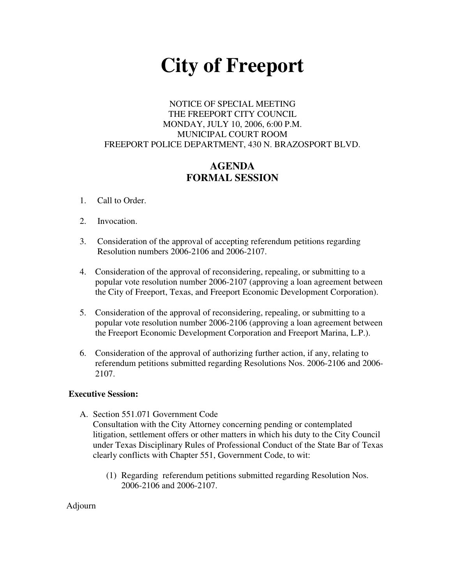# **City of Freeport**

## NOTICE OF SPECIAL MEETING THE FREEPORT CITY COUNCIL MONDAY, JULY 10, 2006, 6:00 P.M. MUNICIPAL COURT ROOM FREEPORT POLICE DEPARTMENT, 430 N. BRAZOSPORT BLVD.

## **AGENDA FORMAL SESSION**

- 1. Call to Order.
- 2. Invocation.
- 3. Consideration of the approval of accepting referendum petitions regarding Resolution numbers 2006-2106 and 2006-2107.
- 4. Consideration of the approval of reconsidering, repealing, or submitting to a popular vote resolution number 2006-2107 (approving a loan agreement between the City of Freeport, Texas, and Freeport Economic Development Corporation).
- 5. Consideration of the approval of reconsidering, repealing, or submitting to a popular vote resolution number 2006-2106 (approving a loan agreement between the Freeport Economic Development Corporation and Freeport Marina, L.P.).
- 6. Consideration of the approval of authorizing further action, if any, relating to referendum petitions submitted regarding Resolutions Nos. 2006-2106 and 2006- 2107.

### **Executive Session:**

A. Section 551.071 Government Code

Consultation with the City Attorney concerning pending or contemplated litigation, settlement offers or other matters in which his duty to the City Council under Texas Disciplinary Rules of Professional Conduct of the State Bar of Texas clearly conflicts with Chapter 551, Government Code, to wit:

(1) Regarding referendum petitions submitted regarding Resolution Nos. 2006-2106 and 2006-2107.

### Adjourn